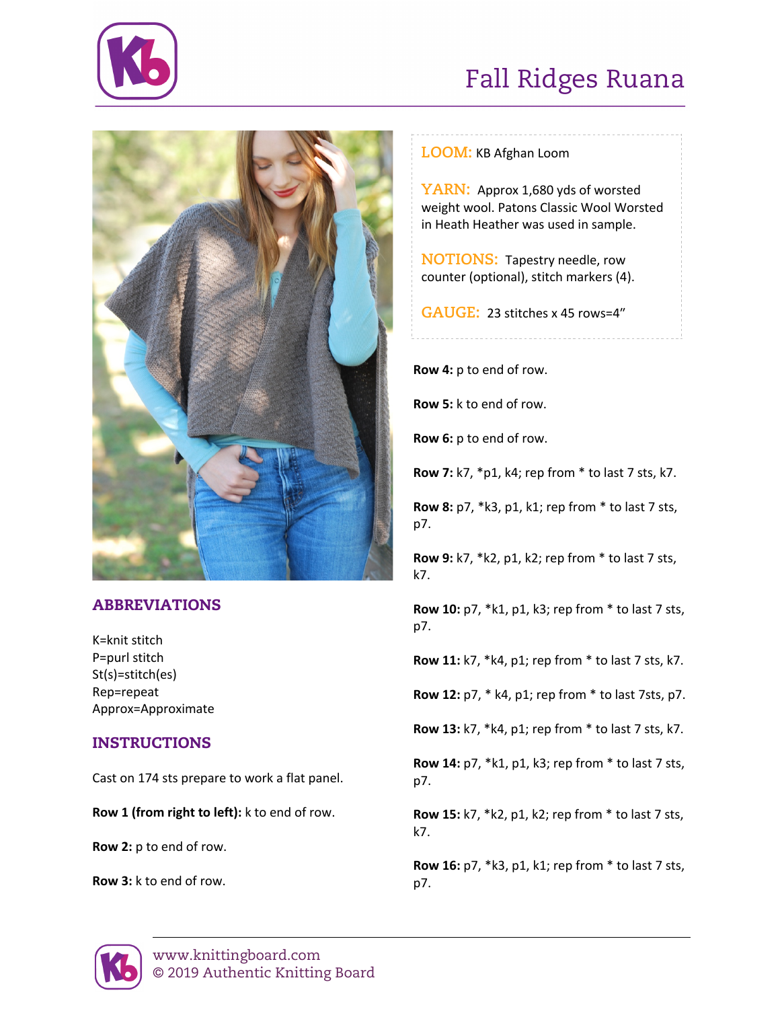

## Fall Ridges Ruana



### ABBREVIATIONS

K=knit stitch P=purl stitch St(s)=stitch(es) Rep=repeat Approx=Approximate

### INSTRUCTIONS

Cast on 174 sts prepare to work a flat panel.

**Row 1 (from right to left):** k to end of row.

**Row 2:** p to end of row.

**Row 3:** k to end of row.

**LOOM:** KB Afghan Loom

**YARN:** Approx 1,680 yds of worsted weight wool. Patons Classic Wool Worsted in Heath Heather was used in sample.

**NOTIONS:** Tapestry needle, row counter (optional), stitch markers (4).

**GAUGE:** 23 stitches x 45 rows=4"

**Row 4:** p to end of row.

**Row 5:** k to end of row.

**Row 6:** p to end of row.

**Row 7:** k7, \*p1, k4; rep from \* to last 7 sts, k7.

**Row 8:** p7, \*k3, p1, k1; rep from \* to last 7 sts, p7.

**Row 9:** k7, \*k2, p1, k2; rep from \* to last 7 sts, k7.

**Row 10:** p7, \*k1, p1, k3; rep from \* to last 7 sts, p7.

**Row 11:** k7, \*k4, p1; rep from \* to last 7 sts, k7.

**Row 12:** p7, \* k4, p1; rep from \* to last 7sts, p7.

**Row 13:** k7, \*k4, p1; rep from \* to last 7 sts, k7.

**Row 14:** p7, \*k1, p1, k3; rep from \* to last 7 sts, p7.

**Row 15:** k7, \*k2, p1, k2; rep from \* to last 7 sts, k7.

**Row 16:** p7, \*k3, p1, k1; rep from \* to last 7 sts, p7.

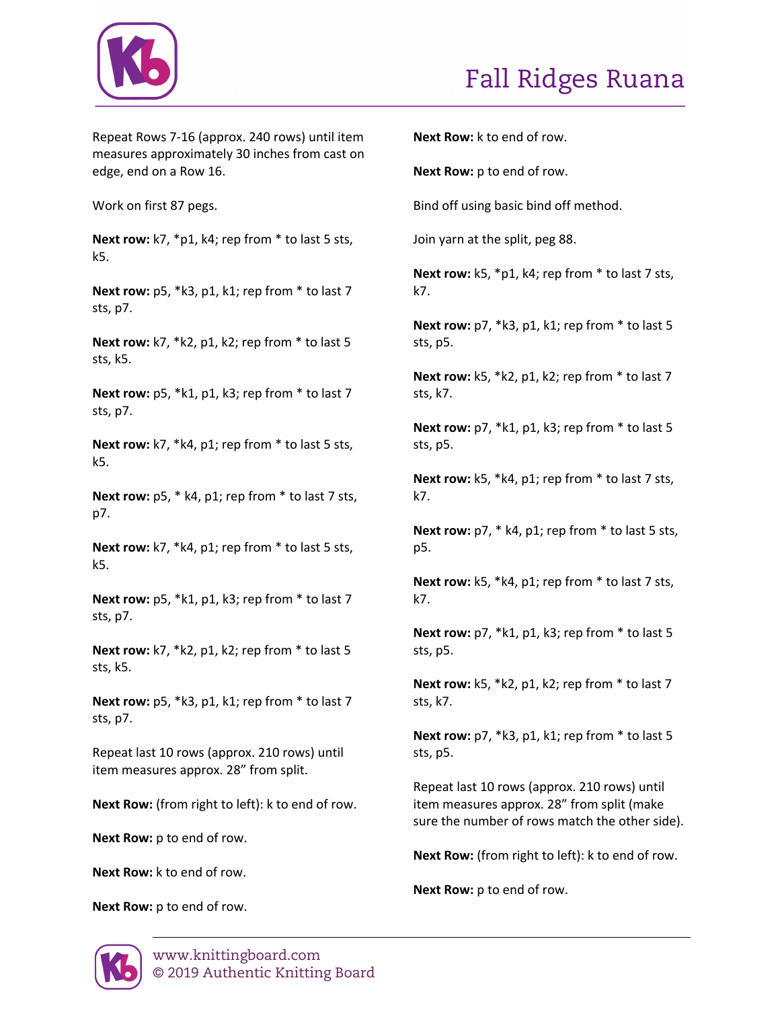

Repeat Rows 7-16 (approx. 240 rows) until item measures approximately 30 inches from cast on edge, end on a Row 16.

Work on first 87 pegs.

**Next row:** k7, \*p1, k4; rep from \* to last 5 sts, k5.

**Next row:** p5, \*k3, p1, k1; rep from \* to last 7 sts, p7.

**Next row:** k7, \*k2, p1, k2; rep from \* to last 5 sts, k5.

**Next row:** p5, \*k1, p1, k3; rep from \* to last 7 sts, p7.

**Next row:** k7, \*k4, p1; rep from \* to last 5 sts, k5.

**Next row:** p5, \* k4, p1; rep from \* to last 7 sts, p7.

**Next row:** k7, \*k4, p1; rep from \* to last 5 sts, k5.

**Next row:** p5, \*k1, p1, k3; rep from \* to last 7 sts, p7.

**Next row:** k7, \*k2, p1, k2; rep from \* to last 5 sts, k5.

**Next row:** p5, \*k3, p1, k1; rep from \* to last 7 sts, p7.

Repeat last 10 rows (approx. 210 rows) until item measures approx. 28" from split.

**Next Row:** (from right to left): k to end of row.

**Next Row:** p to end of row.

**Next Row:** k to end of row.

**Next Row:** p to end of row.

**Next Row:** k to end of row.

**Next Row:** p to end of row.

Bind off using basic bind off method.

Join yarn at the split, peg 88.

**Next row:** k5, \*p1, k4; rep from \* to last 7 sts, k7.

**Next row:** p7, \*k3, p1, k1; rep from \* to last 5 sts, p5.

**Next row:** k5, \*k2, p1, k2; rep from \* to last 7 sts, k7.

**Next row:** p7, \*k1, p1, k3; rep from \* to last 5 sts, p5.

**Next row:** k5, \*k4, p1; rep from \* to last 7 sts, k7.

**Next row:** p7, \* k4, p1; rep from \* to last 5 sts, p5.

**Next row:** k5, \*k4, p1; rep from \* to last 7 sts, k7.

**Next row:** p7, \*k1, p1, k3; rep from \* to last 5 sts, p5.

**Next row:** k5, \*k2, p1, k2; rep from \* to last 7 sts, k7.

**Next row:** p7, \*k3, p1, k1; rep from \* to last 5 sts, p5.

Repeat last 10 rows (approx. 210 rows) until item measures approx. 28" from split (make sure the number of rows match the other side).

**Next Row:** (from right to left): k to end of row.

**Next Row:** p to end of row.